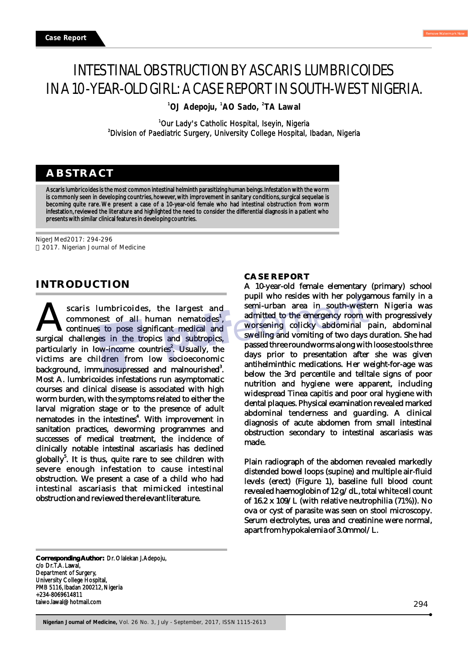# INTESTINAL OBSTRUCTION BY ASCARIS LUMBRICOIDES IN A 10-YEAR-OLD GIRL: A CASE REPORT IN SOUTH-WEST NIGERIA.

**<sup>1</sup> <sup>1</sup> <sup>2</sup> OJ Adepoju, AO Sado, TA Lawal**

<sup>1</sup>Our Lady's Catholic Hospital, Iseyin, Nigeria <sup>2</sup>Division of Paediatric Surgery, University College Hospital, Ibadan, Nigeria

## **ABSTRACT**

Ascaris lumbricoides is the most common intestinal helminth parasitizing human beings. Infestation with the worm is commonly seen in developing countries, however, with improvement in sanitary conditions, surgical sequelae is becoming quite rare. We present a case of a 10-year-old female who had intestinal obstruction from worm infestation, reviewed the literature and highlighted the need to consider the differential diagnosis in a patient who presents with similar clinical features in developing countries.

NigerJMed2017: 294-296 2017. Nigerian Journal of Medicine

### **INTRODUCTION**

scaris lumbricoides, the largest and scaris lumbricoides, the largest and commonest of all human nematodes<sup>1</sup>, continues to pose significant medical and subtropics, continues to pose significant medical and particularly in low-income countries<sup>2</sup>. Usually, the victims are children from low socioeconomic background, immunosupressed and malnourished<sup>3</sup>. Most A. lumbricoides infestations run asymptomatic courses and clinical disease is associated with high worm burden, with the symptoms related to either the larval migration stage or to the presence of adult nematodes in the intestines<sup>4</sup>. With improvement in sanitation practices, deworming programmes and successes of medical treatment, the incidence of clinically notable intestinal ascariasis has declined globally<sup>5</sup>. It is thus, quite rare to see children with severe enough infestation to cause intestinal obstruction. We present a case of a child who had intestinal ascariasis that mimicked intestinal obstruction and reviewed the relevant literature.

#### **CASE REPORT**

A 10-year-old female elementary (primary) school pupil who resides with her polygamous family in a semi-urban area in south-western Nigeria was admitted to the emergency room with progressively worsening colicky abdominal pain, abdominal swelling and vomiting of two days duration. She had passed three roundworms along with loose stools three days prior to presentation after she was given antihelminthic medications. Her weight-for-age was below the 3rd percentile and telltale signs of poor nutrition and hygiene were apparent, including widespread Tinea capitis and poor oral hygiene with dental plaques. Physical examination revealed marked abdominal tenderness and guarding. A clinical diagnosis of acute abdomen from small intestinal obstruction secondary to intestinal ascariasis was made.

Plain radiograph of the abdomen revealed markedly distended bowel loops (supine) and multiple air-fluid levels (erect) (Figure 1), baseline full blood count revealed haemoglobin of 12 g/dL, total white cell count of 16.2 x 109/L (with relative neutrophilia (71%)). No ova or cyst of parasite was seen on stool microscopy. Serum electrolytes, urea and creatinine were normal, apart from hypokalemia of 3.0mmol/L.

**Corresponding Author:** Dr. Olalekan J. Adepoju, c/o Dr. T.A. Lawal, Department of Surgery, University College Hospital, PMB 5116, Ibadan 200212, Nigeria +234-8069614811 taiwo.lawal@hotmail.com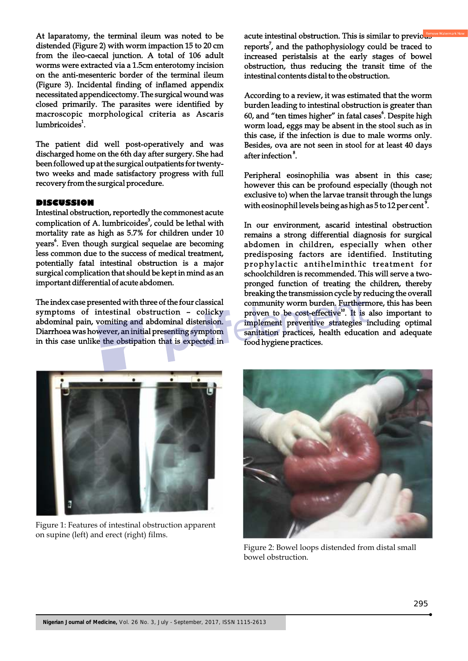At laparatomy, the terminal ileum was noted to be distended (Figure 2) with worm impaction 15 to 20 cm from the ileo-caecal junction. A total of 106 adult worms were extracted via a 1.5cm enterotomy incision on the anti-mesenteric border of the terminal ileum (Figure 3). Incidental finding of inflamed appendix necessitated appendicectomy. The surgical wound was closed primarily. The parasites were identified by macroscopic morphological criteria as Ascaris lumbricoides<sup>1</sup>.

The patient did well post-operatively and was discharged home on the 6th day after surgery. She had been followed up at the surgical outpatients for twentytwo weeks and made satisfactory progress with full recovery from the surgical procedure.

#### **DISCUSSION**

Intestinal obstruction, reportedly the commonest acute complication of A. lumbricoides<sup>3</sup>, could be lethal with mortality rate as high as 5.7% for children under 10 years<sup>6</sup>. Even though surgical sequelae are becoming less common due to the success of medical treatment, potentially fatal intestinal obstruction is a major surgical complication that should be kept in mind as an important differential of acute abdomen.

The index case presented with three of the four classical symptoms of intestinal obstruction – colicky abdominal pain, vomiting and abdominal distension. Diarrhoea was however, an initial presenting symptom in this case unlike the obstipation that is expected in acute intestinal obstruction. This is similar to previous reports<sup>7</sup>, and the pathophysiology could be traced to increased peristalsis at the early stages of bowel obstruction, thus reducing the transit time of the intestinal contents distal to the obstruction.

According to a review, it was estimated that the worm burden leading to intestinal obstruction is greater than 60, and "ten times higher" in fatal cases<sup>6</sup>. Despite high worm load, eggs may be absent in the stool such as in this case, if the infection is due to male worms only. Besides, ova are not seen in stool for at least 40 days after infection<sup>8</sup>.

Peripheral eosinophilia was absent in this case; however this can be profound especially (though not exclusive to) when the larvae transit through the lungs with eosinophil levels being as high as  $5$  to 12 per cent<sup>9</sup>.

In our environment, ascarid intestinal obstruction remains a strong differential diagnosis for surgical abdomen in children, especially when other predisposing factors are identified. Instituting prophylactic antihelminthic treatment for schoolchildren is recommended. This will serve a twopronged function of treating the children, thereby breaking the transmission cycle by reducing the overall community worm burden. Furthermore, this has been proven to be cost-effective<sup>10</sup>. It is also important to implement preventive strategies including optimal sanitation practices, health education and adequate food hygiene practices.



Figure 1: Features of intestinal obstruction apparent on supine (left) and erect (right) films.



Figure 2: Bowel loops distended from distal small bowel obstruction.